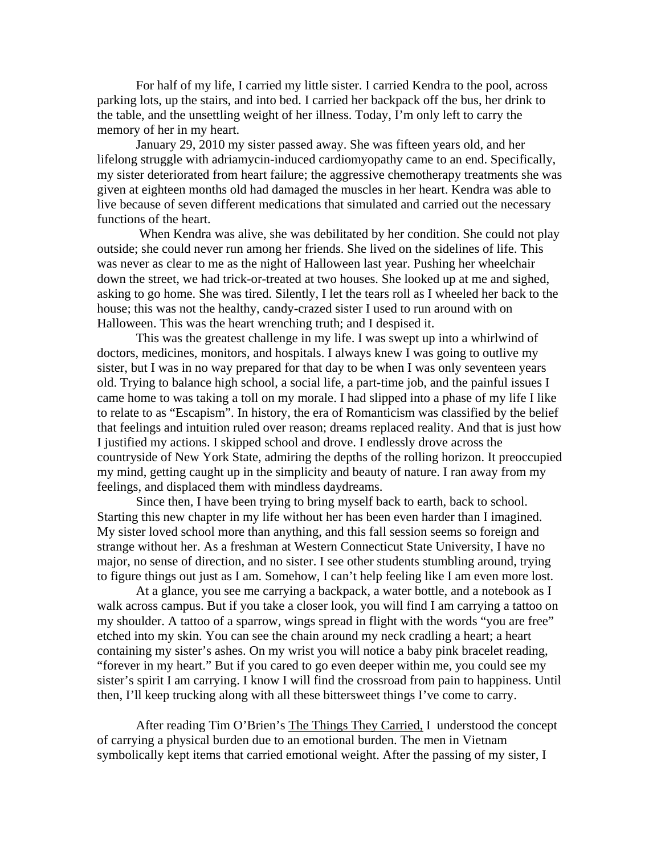For half of my life, I carried my little sister. I carried Kendra to the pool, across parking lots, up the stairs, and into bed. I carried her backpack off the bus, her drink to the table, and the unsettling weight of her illness. Today, I'm only left to carry the memory of her in my heart.

 January 29, 2010 my sister passed away. She was fifteen years old, and her lifelong struggle with adriamycin-induced cardiomyopathy came to an end. Specifically, my sister deteriorated from heart failure; the aggressive chemotherapy treatments she was given at eighteen months old had damaged the muscles in her heart. Kendra was able to live because of seven different medications that simulated and carried out the necessary functions of the heart.

 When Kendra was alive, she was debilitated by her condition. She could not play outside; she could never run among her friends. She lived on the sidelines of life. This was never as clear to me as the night of Halloween last year. Pushing her wheelchair down the street, we had trick-or-treated at two houses. She looked up at me and sighed, asking to go home. She was tired. Silently, I let the tears roll as I wheeled her back to the house; this was not the healthy, candy-crazed sister I used to run around with on Halloween. This was the heart wrenching truth; and I despised it.

 This was the greatest challenge in my life. I was swept up into a whirlwind of doctors, medicines, monitors, and hospitals. I always knew I was going to outlive my sister, but I was in no way prepared for that day to be when I was only seventeen years old. Trying to balance high school, a social life, a part-time job, and the painful issues I came home to was taking a toll on my morale. I had slipped into a phase of my life I like to relate to as "Escapism". In history, the era of Romanticism was classified by the belief that feelings and intuition ruled over reason; dreams replaced reality. And that is just how I justified my actions. I skipped school and drove. I endlessly drove across the countryside of New York State, admiring the depths of the rolling horizon. It preoccupied my mind, getting caught up in the simplicity and beauty of nature. I ran away from my feelings, and displaced them with mindless daydreams.

 Since then, I have been trying to bring myself back to earth, back to school. Starting this new chapter in my life without her has been even harder than I imagined. My sister loved school more than anything, and this fall session seems so foreign and strange without her. As a freshman at Western Connecticut State University, I have no major, no sense of direction, and no sister. I see other students stumbling around, trying to figure things out just as I am. Somehow, I can't help feeling like I am even more lost.

 At a glance, you see me carrying a backpack, a water bottle, and a notebook as I walk across campus. But if you take a closer look, you will find I am carrying a tattoo on my shoulder. A tattoo of a sparrow, wings spread in flight with the words "you are free" etched into my skin. You can see the chain around my neck cradling a heart; a heart containing my sister's ashes. On my wrist you will notice a baby pink bracelet reading, "forever in my heart." But if you cared to go even deeper within me, you could see my sister's spirit I am carrying. I know I will find the crossroad from pain to happiness. Until then, I'll keep trucking along with all these bittersweet things I've come to carry.

After reading Tim O'Brien's The Things They Carried, I understood the concept of carrying a physical burden due to an emotional burden. The men in Vietnam symbolically kept items that carried emotional weight. After the passing of my sister, I